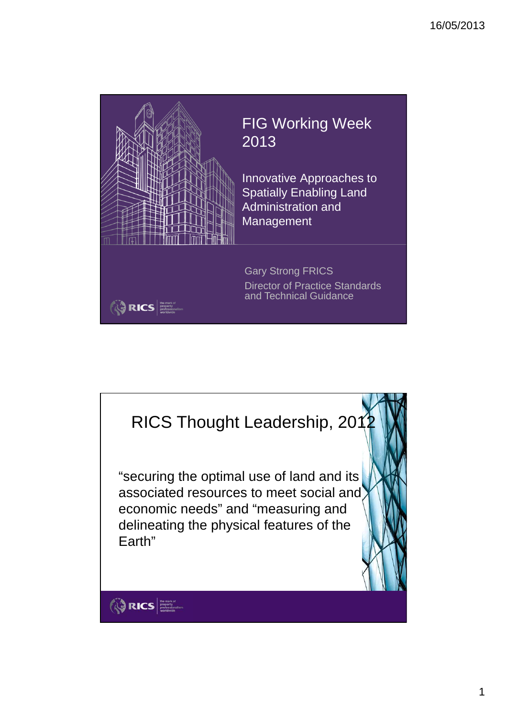



1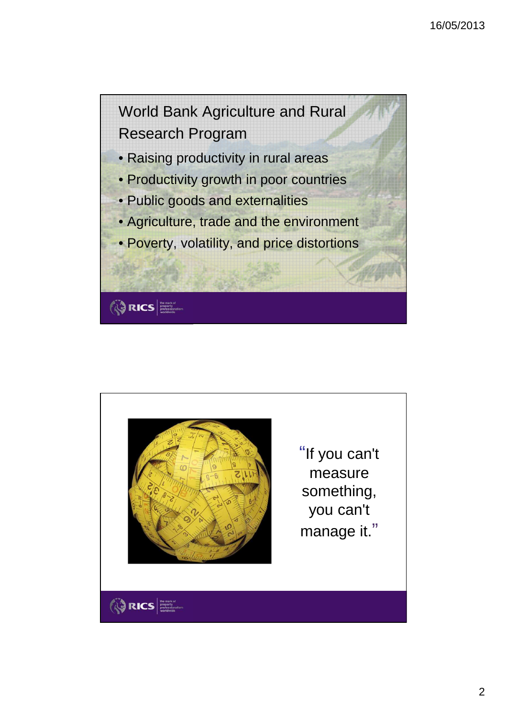



**RICS** 

"If you can't measure something, you can't manage it."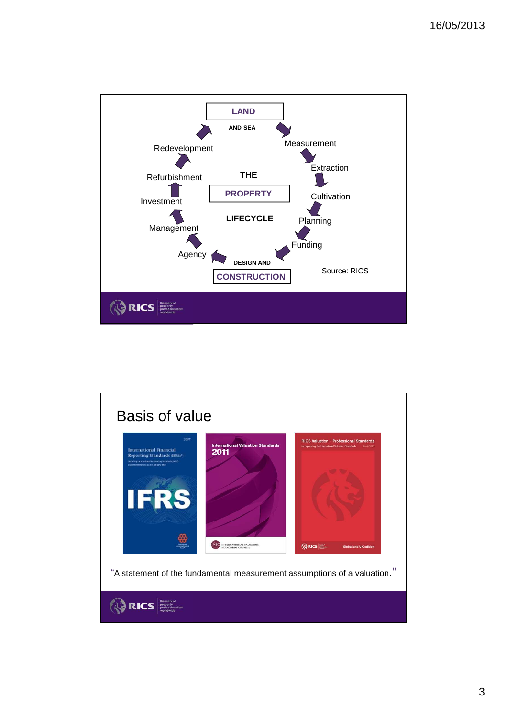

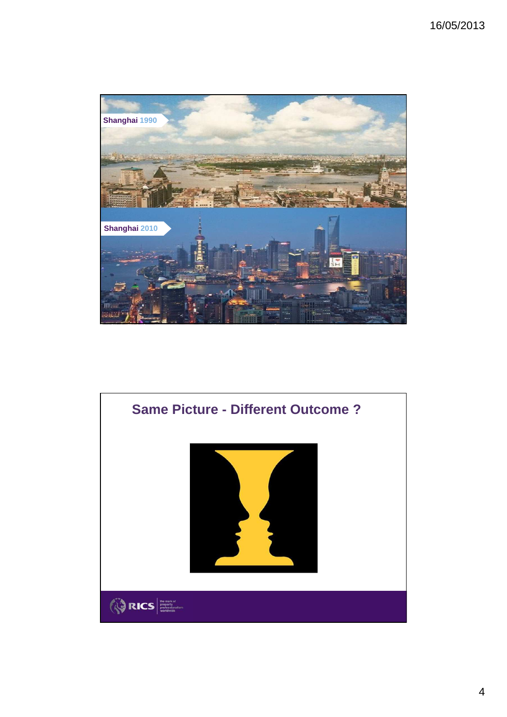

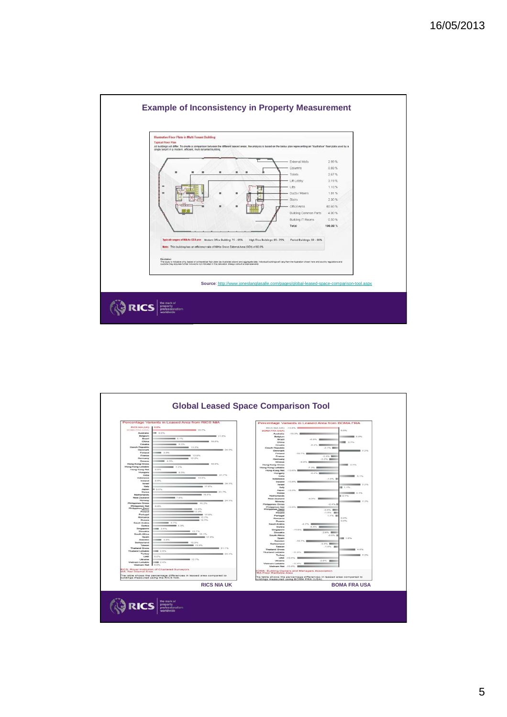

| <b>RICS NIA (UK)</b><br><b>DOMA FRA (USA)</b><br>Australia<br>Belgium<br><b>Grazil</b><br>China<br>Croatia<br><b>Grech Republic</b><br>Denmark<br>Finland<br>France<br>Germany<br>Greene<br><b>Hong Kong Gross</b> | <b>CLONG</b><br><b>MAYS</b> 10.7%<br><b>M</b> 0.5%<br>■ 21.6%<br><b>COMMERCIAL</b><br><b>W. 10.0%</b><br><b>MARK 0.0%</b><br><b>CONTRACTOR</b> 15.2%<br><b>MARK 24.1%</b>                                                                | RICS NIA (UH) -13.6% -<br><b>BOMA FRA (USA)</b><br>Australia<br><b>Belgium</b><br><b>Shringed</b> | Percentage Variants in Leased Area from BOMA FRA<br>$-13.2%$         | 0.0%                      |
|--------------------------------------------------------------------------------------------------------------------------------------------------------------------------------------------------------------------|------------------------------------------------------------------------------------------------------------------------------------------------------------------------------------------------------------------------------------------|---------------------------------------------------------------------------------------------------|----------------------------------------------------------------------|---------------------------|
|                                                                                                                                                                                                                    |                                                                                                                                                                                                                                          |                                                                                                   |                                                                      |                           |
|                                                                                                                                                                                                                    |                                                                                                                                                                                                                                          |                                                                                                   |                                                                      |                           |
|                                                                                                                                                                                                                    |                                                                                                                                                                                                                                          |                                                                                                   |                                                                      |                           |
|                                                                                                                                                                                                                    |                                                                                                                                                                                                                                          |                                                                                                   |                                                                      | $-200$                    |
|                                                                                                                                                                                                                    |                                                                                                                                                                                                                                          | China                                                                                             | All Annual Company                                                   | ■ 27%                     |
|                                                                                                                                                                                                                    |                                                                                                                                                                                                                                          | Constitution                                                                                      | A AN INCHES                                                          |                           |
|                                                                                                                                                                                                                    |                                                                                                                                                                                                                                          | <b>Crech Republic</b>                                                                             | $-2.176$ <b>BBI</b>                                                  |                           |
|                                                                                                                                                                                                                    | <b>MI 3.2%</b>                                                                                                                                                                                                                           | Denmark                                                                                           |                                                                      |                           |
|                                                                                                                                                                                                                    | <b>CONTRACTOR</b> 12.0%                                                                                                                                                                                                                  | Finland<br>France                                                                                 | -10.7% E --<br>2.5% 開催                                               |                           |
|                                                                                                                                                                                                                    | <b>CONTINUES 12.2%</b>                                                                                                                                                                                                                   | Germany                                                                                           | -3.0% 000                                                            |                           |
|                                                                                                                                                                                                                    | <b>HER 4.9%</b>                                                                                                                                                                                                                          | Greeca                                                                                            | -0.0% 000                                                            |                           |
| Hong Kong Lettable                                                                                                                                                                                                 | <b>CONTRACTOR</b> 10,0%                                                                                                                                                                                                                  | <b>Hong Kong Gross</b>                                                                            |                                                                      | ■ 2.7%                    |
| <b>Hong Kong Net</b>                                                                                                                                                                                               | 0.0%                                                                                                                                                                                                                                     | <b>Hong Kong Lettable</b><br><b>Hong Kong Net</b>                                                 | -7.3% BREE<br><b>LES ANGELES</b>                                     |                           |
| Hungary                                                                                                                                                                                                            | ----                                                                                                                                                                                                                                     | Hungary                                                                                           | ALC: NOW                                                             |                           |
| <b>Station</b>                                                                                                                                                                                                     | 21.7%                                                                                                                                                                                                                                    | India                                                                                             |                                                                      | <b>CONTRACTOR</b> 45, 155 |
| Indonesia<br>Instand                                                                                                                                                                                               | 14.0%<br>0.0%                                                                                                                                                                                                                            | Indonesia                                                                                         | $-1.0\%$ .                                                           |                           |
| <b>Increased</b>                                                                                                                                                                                                   | <b>CONTRACTOR</b>                                                                                                                                                                                                                        | Ineland<br><b>Degreed</b>                                                                         |                                                                      | <b>HERE 7.2%</b>          |
| <b>Harty</b>                                                                                                                                                                                                       | 17.0%                                                                                                                                                                                                                                    | <b>Hate</b>                                                                                       |                                                                      | 图 1.1%                    |
| Japan<br>Korea                                                                                                                                                                                                     | D. APM<br>The Committee of the Committee of the Committee of the Committee of the Committee of the Committee of the Committee of the Committee of the Committee of the Committee of the Committee of the Committee of the Committee of t | Japan                                                                                             |                                                                      |                           |
| Netherlands                                                                                                                                                                                                        | <b>CONTRACTOR</b> 16.6%                                                                                                                                                                                                                  | Korea                                                                                             |                                                                      | <b>CONTRACTOR</b> 0.1%    |
| New Zealand                                                                                                                                                                                                        | <b>MET 2.010</b>                                                                                                                                                                                                                         | Netherlands<br>New Zealand                                                                        | -6.0% <b>ENDING</b>                                                  | ■ 0.7%                    |
| Norway                                                                                                                                                                                                             | 88.24.1%                                                                                                                                                                                                                                 | <b>Nonware</b>                                                                                    |                                                                      | $-225$                    |
| <b>Philippines Gross</b><br><b>Philippines Net</b>                                                                                                                                                                 | 10.2%<br>D.D%                                                                                                                                                                                                                            | <b>Philippines Gross</b>                                                                          | $-0.45$                                                              |                           |
| <b>Philippines Semi</b>                                                                                                                                                                                            | $-245.45$                                                                                                                                                                                                                                | <b>Philippines Net</b>                                                                            |                                                                      |                           |
| Poland                                                                                                                                                                                                             | 13.9%                                                                                                                                                                                                                                    | <b>Philippines Serri</b><br>Poland                                                                | $-2.0\%$ <b>BIII</b><br>$-1.0\%$ <b>HIII</b>                         |                           |
| Portugal                                                                                                                                                                                                           | <b>COMMERCIAL STATE</b>                                                                                                                                                                                                                  | Portugal                                                                                          | 1.1% 图                                                               |                           |
| Romania<br><b>Photosis</b>                                                                                                                                                                                         | 15.7%<br>15.7%                                                                                                                                                                                                                           | Romania                                                                                           |                                                                      | $0.0\%$                   |
| Saudi Arabia                                                                                                                                                                                                       | <b>BB</b> 6.7%                                                                                                                                                                                                                           | Photosia<br><b>Saudi Arabia</b>                                                                   | A.T.V. BERRY                                                         | 0.0%                      |
| Serbia                                                                                                                                                                                                             | <b>CONTRACTOR</b> & STO                                                                                                                                                                                                                  | Serbia                                                                                            | 4.4% <b>Director</b>                                                 |                           |
| Singapore<br>Slovakia                                                                                                                                                                                              | <b>BED 2.4%</b><br>12.7%                                                                                                                                                                                                                 | Singapore                                                                                         | <b>AT ANG THE</b>                                                    |                           |
| South Africa                                                                                                                                                                                                       | <b>CONTRACTOR</b> 15, 150                                                                                                                                                                                                                | <b>Showakia</b>                                                                                   | -2.0% 国際                                                             |                           |
| Timpin                                                                                                                                                                                                             | <b>COMMERCIAL</b>                                                                                                                                                                                                                        | South Africa<br>Spain                                                                             | $-0.65 - 1$                                                          | 1.0%                      |
| Sweden                                                                                                                                                                                                             | <b>BMX</b> 3.3%                                                                                                                                                                                                                          | <b>Similar hours</b>                                                                              | $-10.7\%$ <b>EVALUATE</b>                                            |                           |
| <b><i><u><u>Residents of service</u></u></i></b><br>Talwan                                                                                                                                                         | <b>CONTRACTOR</b> 12, 200<br><b>COURT STATE</b>                                                                                                                                                                                          | <b>Switzerland</b>                                                                                | $-3.0\%$ <b>HIMM</b>                                                 |                           |
| <b>Thailand Gross</b>                                                                                                                                                                                              | <b>ME 21.1%</b>                                                                                                                                                                                                                          | Tawan                                                                                             | $-1.0\%$ .                                                           |                           |
| <b>Thailand Lettable</b>                                                                                                                                                                                           | <b>BB 2.4%</b>                                                                                                                                                                                                                           | Thailand Green<br><b>Thailand Lettable</b>                                                        | $11.056$ <b>EMI</b>                                                  | 4.6%                      |
| Turkey                                                                                                                                                                                                             | <b>ME 24.1%</b>                                                                                                                                                                                                                          | Turkey                                                                                            |                                                                      | <b>HER 7.5%</b>           |
| <b>LIAST</b><br>Ukraine                                                                                                                                                                                            | ID IDSG<br><b>HERMAN 12.7%</b>                                                                                                                                                                                                           | <b>UAR</b>                                                                                        |                                                                      |                           |
| Vietnam Lettable                                                                                                                                                                                                   | ■ 2.4%                                                                                                                                                                                                                                   | Ukraine                                                                                           | $-2.0\%$ =<br>$-11.0\%$ =                                            |                           |
| Lin nec<br><b>Vietnam Net</b>                                                                                                                                                                                      |                                                                                                                                                                                                                                          | Vietnam Lettable                                                                                  | Medicialny Net 113, 016 Billion                                      |                           |
|                                                                                                                                                                                                                    |                                                                                                                                                                                                                                          |                                                                                                   |                                                                      |                           |
|                                                                                                                                                                                                                    | RICS: Royal Institution of Chartered Surveyors<br>NIA: Net Internal Area                                                                                                                                                                 | RA:Floor Rentable Area                                                                            | OMA: Building Owners and Managers Association                        |                           |
| suildings measured using the RICS NIA.                                                                                                                                                                             | The table shows the percentage differences in leased area compared to                                                                                                                                                                    |                                                                                                   | he table shows the percentage differences in leased area compared to |                           |
|                                                                                                                                                                                                                    |                                                                                                                                                                                                                                          |                                                                                                   | uildings measured using BOMA FRA (USA).                              |                           |
|                                                                                                                                                                                                                    | <b>RICS NIA UK</b>                                                                                                                                                                                                                       |                                                                                                   |                                                                      | <b>BOMA FRA USA</b>       |
|                                                                                                                                                                                                                    |                                                                                                                                                                                                                                          |                                                                                                   |                                                                      |                           |
|                                                                                                                                                                                                                    |                                                                                                                                                                                                                                          |                                                                                                   |                                                                      |                           |
|                                                                                                                                                                                                                    |                                                                                                                                                                                                                                          |                                                                                                   |                                                                      |                           |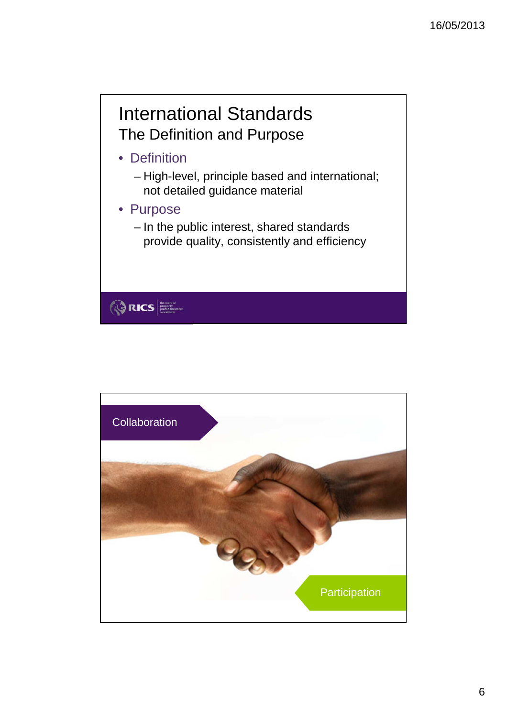## International Standards The Definition and Purpose

- Definition
	- High-level, principle based and international; not detailed guidance material
- Purpose

**ORICS** 

– In the public interest, shared standards provide quality, consistently and efficiency

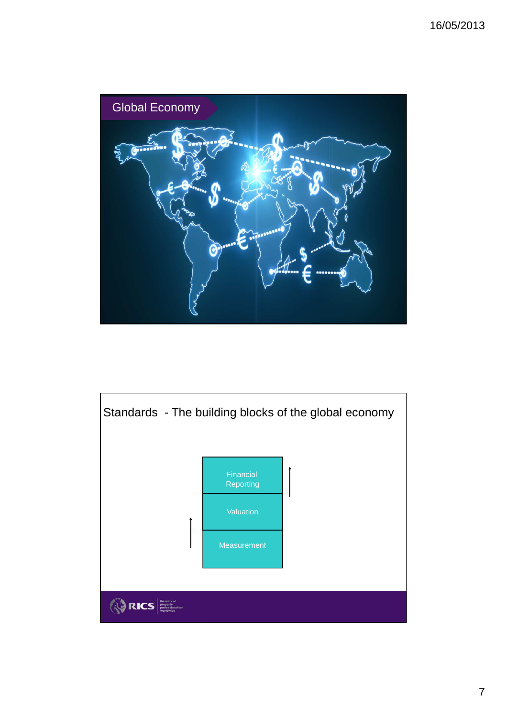